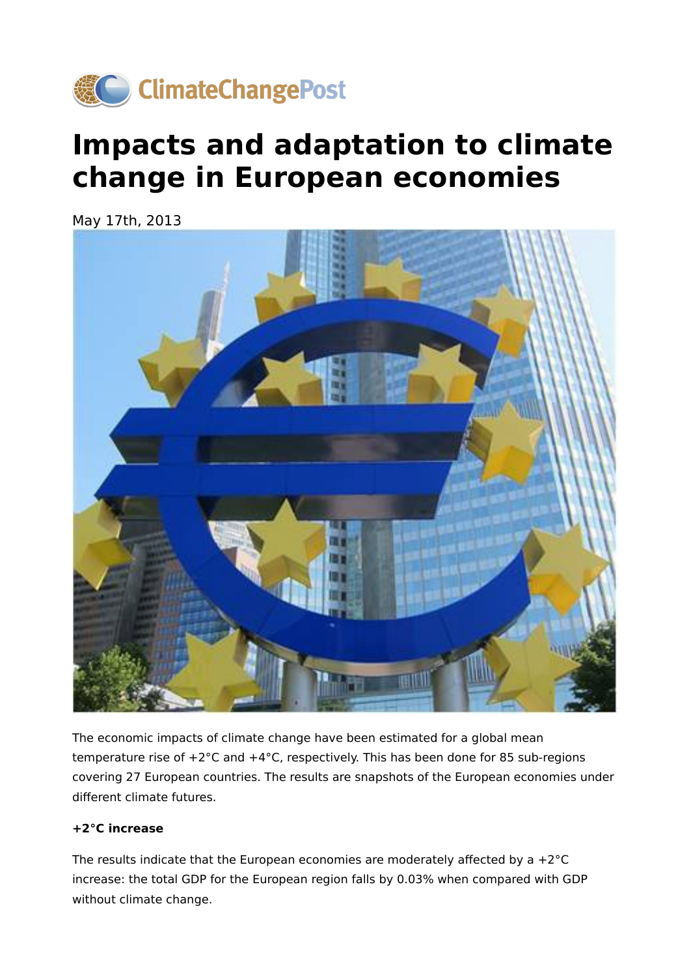

## **Impacts and adaptation to climate change in European economies**

May 17th, 2013



The economic impacts of climate change have been estimated for a global mean temperature rise of +2°C and +4°C, respectively. This has been done for 85 sub-regions covering 27 European countries. The results are snapshots of the European economies under different climate futures.

## **+2°C increase**

The results indicate that the European economies are moderately affected by a  $+2^{\circ}C$ increase: the total GDP for the European region falls by 0.03% when compared with GDP without climate change.